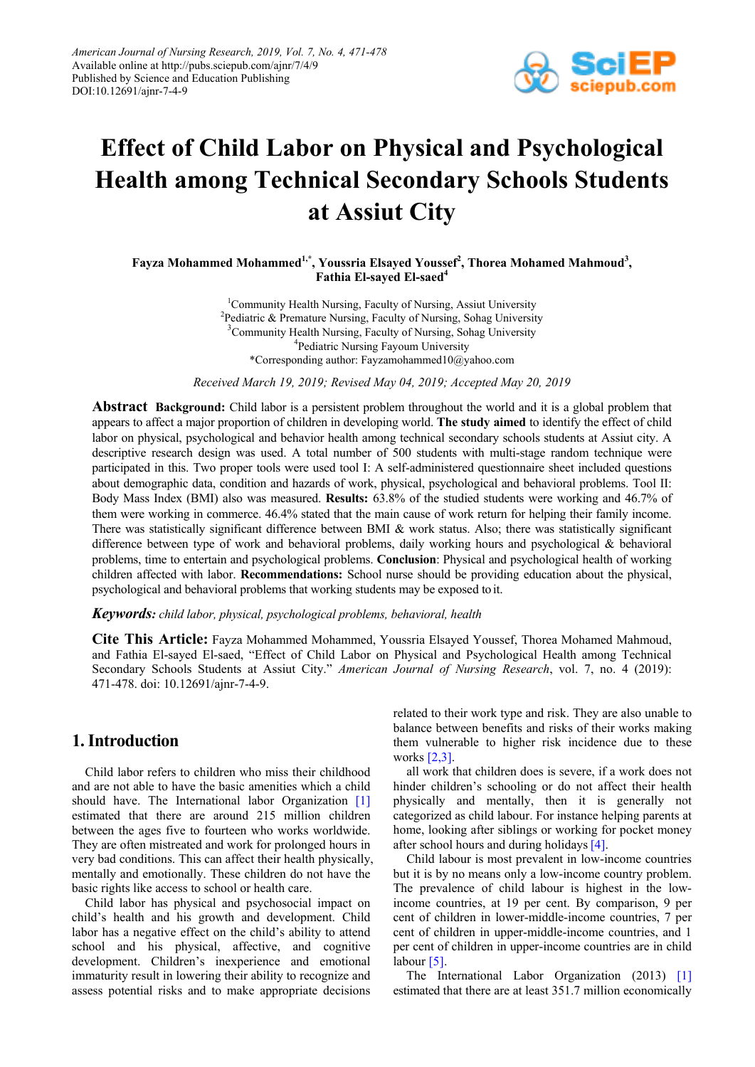

# **Effect of Child Labor on Physical and Psychological Health among Technical Secondary Schools Students at Assiut City**

Fayza Mohammed Mohammed<sup>1,\*</sup>, Youssria Elsayed Youssef<sup>2</sup>, Thorea Mohamed Mahmoud<sup>3</sup>, **Fathia El-sayed El-saed<sup>4</sup>**

> <sup>1</sup>Community Health Nursing, Faculty of Nursing, Assiut University <sup>2</sup>Pediatric & Premature Nursing, Faculty of Nursing, Sohag University <sup>3</sup>Community Health Nursing, Faculty of Nursing, Sohag University <sup>4</sup>Pediatric Nursing Fayoum University \*Corresponding author: Fayzamohammed10@yahoo.com

*Received March 19, 2019; Revised May 04, 2019; Accepted May 20, 2019*

**Abstract Background:** Child labor is a persistent problem throughout the world and it is a global problem that appears to affect a major proportion of children in developing world. **The study aimed** to identify the effect of child labor on physical, psychological and behavior health among technical secondary schools students at Assiut city. A descriptive research design was used. A total number of 500 students with multi-stage random technique were participated in this. Two proper tools were used tool I: A self-administered questionnaire sheet included questions about demographic data, condition and hazards of work, physical, psychological and behavioral problems. Tool II: Body Mass Index (BMI) also was measured. **Results:** 63.8% of the studied students were working and 46.7% of them were working in commerce. 46.4% stated that the main cause of work return for helping their family income. There was statistically significant difference between BMI & work status. Also; there was statistically significant difference between type of work and behavioral problems, daily working hours and psychological & behavioral problems, time to entertain and psychological problems. **Conclusion**: Physical and psychological health of working children affected with labor. **Recommendations:** School nurse should be providing education about the physical, psychological and behavioral problems that working students may be exposed toit.

*Keywords: child labor, physical, psychological problems, behavioral, health*

**Cite This Article:** Fayza Mohammed Mohammed, Youssria Elsayed Youssef, Thorea Mohamed Mahmoud, and Fathia El-sayed El-saed, "Effect of Child Labor on Physical and Psychological Health among Technical Secondary Schools Students at Assiut City." *American Journal of Nursing Research*, vol. 7, no. 4 (2019): 471-478. doi: 10.12691/ajnr-7-4-9.

# **1. Introduction**

Child labor refers to children who miss their childhood and are not able to have the basic amenities which a child should have. The International labor Organization [\[1\]](#page-7-0) estimated that there are around 215 million children between the ages five to fourteen who works worldwide. They are often mistreated and work for prolonged hours in very bad conditions. This can affect their health physically, mentally and emotionally. These children do not have the basic rights like access to school or health care.

Child labor has physical and psychosocial impact on child's health and his growth and development. Child labor has a negative effect on the child's ability to attend school and his physical, affective, and cognitive development. Children's inexperience and emotional immaturity result in lowering their ability to recognize and assess potential risks and to make appropriate decisions related to their work type and risk. They are also unable to balance between benefits and risks of their works making them vulnerable to higher risk incidence due to these works [\[2,3\].](#page-7-1)

all work that children does is severe, if a work does not hinder children's schooling or do not affect their health physically and mentally, then it is generally not categorized as child labour. For instance helping parents at home, looking after siblings or working for pocket money after school hours and during holidays [\[4\].](#page-7-2)

Child labour is most prevalent in low-income countries but it is by no means only a low-income country problem. The prevalence of child labour is highest in the lowincome countries, at 19 per cent. By comparison, 9 per cent of children in lower-middle-income countries, 7 per cent of children in upper-middle-income countries, and 1 per cent of children in upper-income countries are in child labour [\[5\].](#page-7-3)

The International Labor Organization (2013) [\[1\]](#page-7-0) estimated that there are at least 351.7 million economically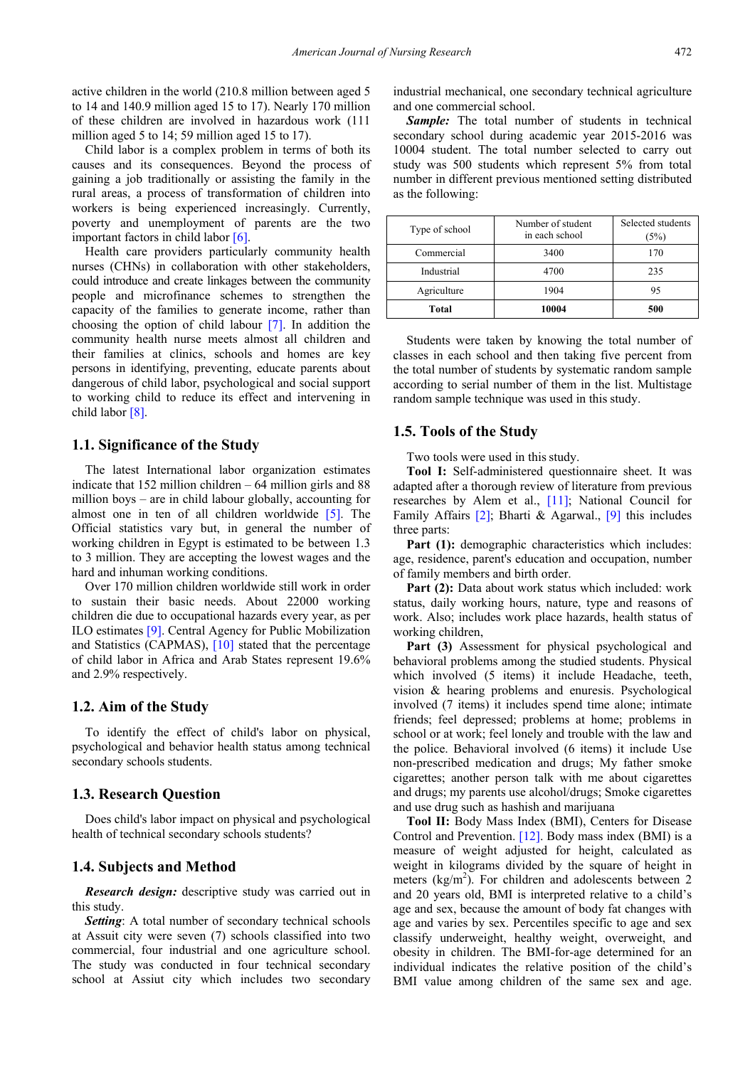active children in the world (210.8 million between aged 5 to 14 and 140.9 million aged 15 to 17). Nearly 170 million of these children are involved in hazardous work (111 million aged 5 to 14; 59 million aged 15 to 17).

Child labor is a complex problem in terms of both its causes and its consequences. Beyond the process of gaining a job traditionally or assisting the family in the rural areas, a process of transformation of children into workers is being experienced increasingly. Currently, poverty and unemployment of parents are the two important factors in child labo[r \[6\].](#page-7-4)

Health care providers particularly community health nurses (CHNs) in collaboration with other stakeholders, could introduce and create linkages between the community people and microfinance schemes to strengthen the capacity of the families to generate income, rather than choosing the option of child labour [\[7\].](#page-7-5) In addition the community health nurse meets almost all children and their families at clinics, schools and homes are key persons in identifying, preventing, educate parents about dangerous of child labor, psychological and social support to working child to reduce its effect and intervening in child labor [\[8\].](#page-7-6)

## **1.1. Significance of the Study**

The latest International labor organization estimates indicate that 152 million children – 64 million girls and 88 million boys – are in child labour globally, accounting for almost one in ten of all children worldwide [\[5\].](#page-7-3) The Official statistics vary but, in general the number of working children in Egypt is estimated to be between 1.3 to 3 million. They are accepting the lowest wages and the hard and inhuman working conditions.

Over 170 million children worldwide still work in order to sustain their basic needs. About 22000 working children die due to occupational hazards every year, as per ILO estimate[s \[9\].](#page-7-7) Central Agency for Public Mobilization and Statistics (CAPMAS), [\[10\]](#page-7-8) stated that the percentage of child labor in Africa and Arab States represent 19.6% and 2.9% respectively.

#### **1.2. Aim of the Study**

To identify the effect of child's labor on physical, psychological and behavior health status among technical secondary schools students.

#### **1.3. Research Question**

Does child's labor impact on physical and psychological health of technical secondary schools students?

### **1.4. Subjects and Method**

*Research design:* descriptive study was carried out in this study.

**Setting**: A total number of secondary technical schools at Assuit city were seven (7) schools classified into two commercial, four industrial and one agriculture school. The study was conducted in four technical secondary school at Assiut city which includes two secondary industrial mechanical, one secondary technical agriculture and one commercial school.

**Sample:** The total number of students in technical secondary school during academic year 2015-2016 was 10004 student. The total number selected to carry out study was 500 students which represent 5% from total number in different previous mentioned setting distributed as the following:

| Type of school | Number of student<br>in each school | Selected students<br>(5%) |
|----------------|-------------------------------------|---------------------------|
| Commercial     | 3400                                | 170                       |
| Industrial     | 4700                                | 235                       |
| Agriculture    | 1904                                | 95                        |
| Total          | 10004                               | 500                       |

Students were taken by knowing the total number of classes in each school and then taking five percent from the total number of students by systematic random sample according to serial number of them in the list. Multistage random sample technique was used in this study.

#### **1.5. Tools of the Study**

Two tools were used in this study.

**Tool I:** Self-administered questionnaire sheet. It was adapted after a thorough review of literature from previous researches by Alem et al., [\[11\];](#page-7-9) National Council for Family Affairs [\[2\];](#page-7-1) Bharti & Agarwal., [\[9\]](#page-7-7) this includes three parts:

**Part (1):** demographic characteristics which includes: age, residence, parent's education and occupation, number of family members and birth order.

Part (2): Data about work status which included: work status, daily working hours, nature, type and reasons of work. Also; includes work place hazards, health status of working children,

Part (3) Assessment for physical psychological and behavioral problems among the studied students. Physical which involved (5 items) it include Headache, teeth, vision & hearing problems and enuresis. Psychological involved (7 items) it includes spend time alone; intimate friends; feel depressed; problems at home; problems in school or at work; feel lonely and trouble with the law and the police. Behavioral involved (6 items) it include Use non-prescribed medication and drugs; My father smoke cigarettes; another person talk with me about cigarettes and drugs; my parents use alcohol/drugs; Smoke cigarettes and use drug such as hashish and marijuana

**Tool II:** Body Mass Index (BMI), Centers for Disease Control and Prevention. [\[12\].](#page-7-10) Body mass index (BMI) is a measure of weight adjusted for height, calculated as weight in kilograms divided by the square of height in meters  $(kg/m<sup>2</sup>)$ . For children and adolescents between 2 and 20 years old, BMI is interpreted relative to a child's age and sex, because the amount of body fat changes with age and varies by sex. Percentiles specific to age and sex classify underweight, healthy weight, overweight, and obesity in children. The BMI-for-age determined for an individual indicates the relative position of the child's BMI value among children of the same sex and age.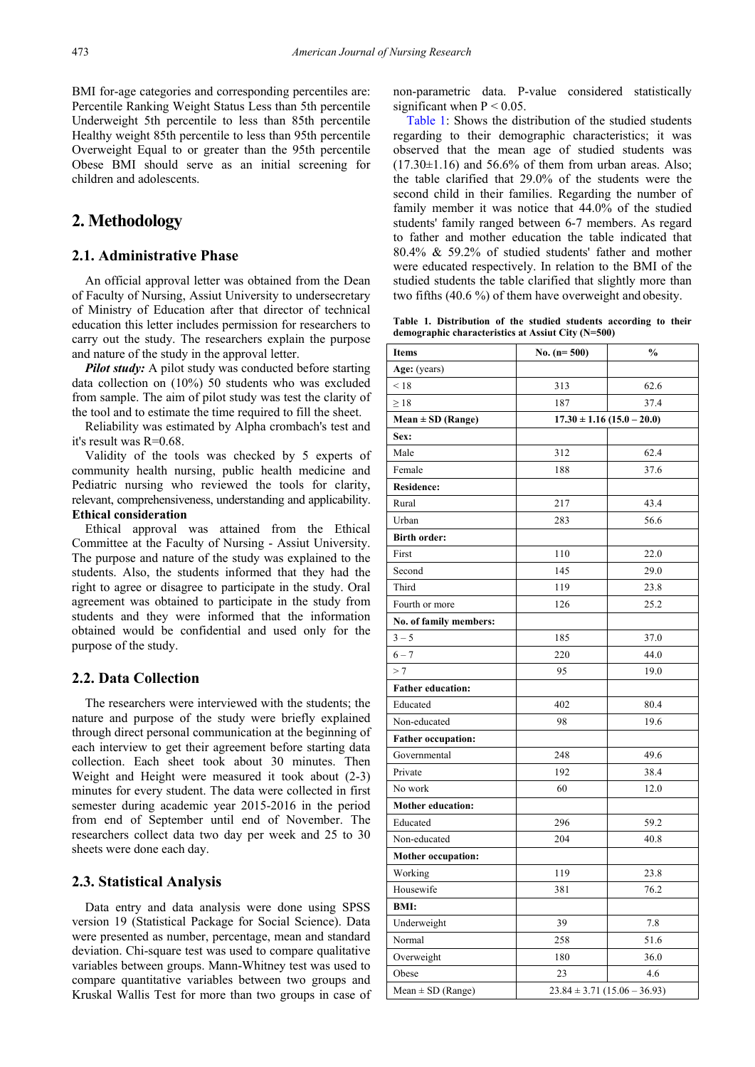BMI for-age categories and corresponding percentiles are: Percentile Ranking Weight Status Less than 5th percentile Underweight 5th percentile to less than 85th percentile Healthy weight 85th percentile to less than 95th percentile Overweight Equal to or greater than the 95th percentile Obese BMI should serve as an initial screening for children and adolescents.

## **2. Methodology**

## **2.1. Administrative Phase**

An official approval letter was obtained from the Dean of Faculty of Nursing, Assiut University to undersecretary of Ministry of Education after that director of technical education this letter includes permission for researchers to carry out the study. The researchers explain the purpose and nature of the study in the approval letter.

*Pilot study:* A pilot study was conducted before starting data collection on (10%) 50 students who was excluded from sample. The aim of pilot study was test the clarity of the tool and to estimate the time required to fill the sheet.

Reliability was estimated by Alpha crombach's test and it's result was R=0.68.

Validity of the tools was checked by 5 experts of community health nursing, public health medicine and Pediatric nursing who reviewed the tools for clarity, relevant, comprehensiveness, understanding and applicability. **Ethical consideration**

Ethical approval was attained from the Ethical Committee at the Faculty of Nursing - Assiut University. The purpose and nature of the study was explained to the students. Also, the students informed that they had the right to agree or disagree to participate in the study. Oral agreement was obtained to participate in the study from students and they were informed that the information obtained would be confidential and used only for the purpose of the study.

### **2.2. Data Collection**

The researchers were interviewed with the students; the nature and purpose of the study were briefly explained through direct personal communication at the beginning of each interview to get their agreement before starting data collection. Each sheet took about 30 minutes. Then Weight and Height were measured it took about (2-3) minutes for every student. The data were collected in first semester during academic year 2015-2016 in the period from end of September until end of November. The researchers collect data two day per week and 25 to 30 sheets were done each day.

## **2.3. Statistical Analysis**

Data entry and data analysis were done using SPSS version 19 (Statistical Package for Social Science). Data were presented as number, percentage, mean and standard deviation. Chi-square test was used to compare qualitative variables between groups. Mann-Whitney test was used to compare quantitative variables between two groups and Kruskal Wallis Test for more than two groups in case of non-parametric data. P-value considered statistically significant when  $P < 0.05$ .

[Table 1:](#page-2-0) Shows the distribution of the studied students regarding to their demographic characteristics; it was observed that the mean age of studied students was  $(17.30\pm1.16)$  and 56.6% of them from urban areas. Also: the table clarified that 29.0% of the students were the second child in their families. Regarding the number of family member it was notice that 44.0% of the studied students' family ranged between 6-7 members. As regard to father and mother education the table indicated that 80.4% & 59.2% of studied students' father and mother were educated respectively. In relation to the BMI of the studied students the table clarified that slightly more than two fifths (40.6 %) of them have overweight and obesity.

**Table 1. Distribution of the studied students according to their demographic characteristics at Assiut City (N=500)**

<span id="page-2-0"></span>

| Items                     | No. $(n=500)$                    | $\frac{0}{0}$ |
|---------------------------|----------------------------------|---------------|
| Age: (years)              |                                  |               |
| < 18                      | 313                              | 62.6          |
| $\geq 18$                 | 187                              | 37.4          |
| $Mean \pm SD$ (Range)     | $17.30 \pm 1.16 (15.0 - 20.0)$   |               |
| Sex:                      |                                  |               |
| Male                      | 312                              | 62.4          |
| Female                    | 188                              | 37.6          |
| <b>Residence:</b>         |                                  |               |
| Rural                     | 217                              | 43.4          |
| Urban                     | 283                              | 56.6          |
| <b>Birth order:</b>       |                                  |               |
| First                     | 110                              | 22.0          |
| Second                    | 145                              | 29.0          |
| Third                     | 119                              | 23.8          |
| Fourth or more            | 126                              | 25.2          |
| No. of family members:    |                                  |               |
| $3 - 5$                   | 185                              | 37.0          |
| $6 - 7$                   | 220                              | 44.0          |
| >7                        | 95                               | 19.0          |
| <b>Father education:</b>  |                                  |               |
| Educated                  | 402                              | 80.4          |
| Non-educated              | 98                               | 19.6          |
| <b>Father occupation:</b> |                                  |               |
| Governmental              | 248                              | 49.6          |
| Private                   | 192                              | 38.4          |
| No work                   | 60                               | 12.0          |
| <b>Mother education:</b>  |                                  |               |
| Educated                  | 296                              | 59.2          |
| Non-educated              | 204                              | 40.8          |
| <b>Mother occupation:</b> |                                  |               |
| Working                   | 119                              | 23.8          |
| Housewife                 | 381                              | 76.2          |
| <b>BMI:</b>               |                                  |               |
| Underweight               | 39                               | 7.8           |
| Normal                    | 258                              | 51.6          |
| Overweight                | 180                              | 36.0          |
| Obese                     | 23                               | 4.6           |
| $Mean \pm SD$ (Range)     | $23.84 \pm 3.71 (15.06 - 36.93)$ |               |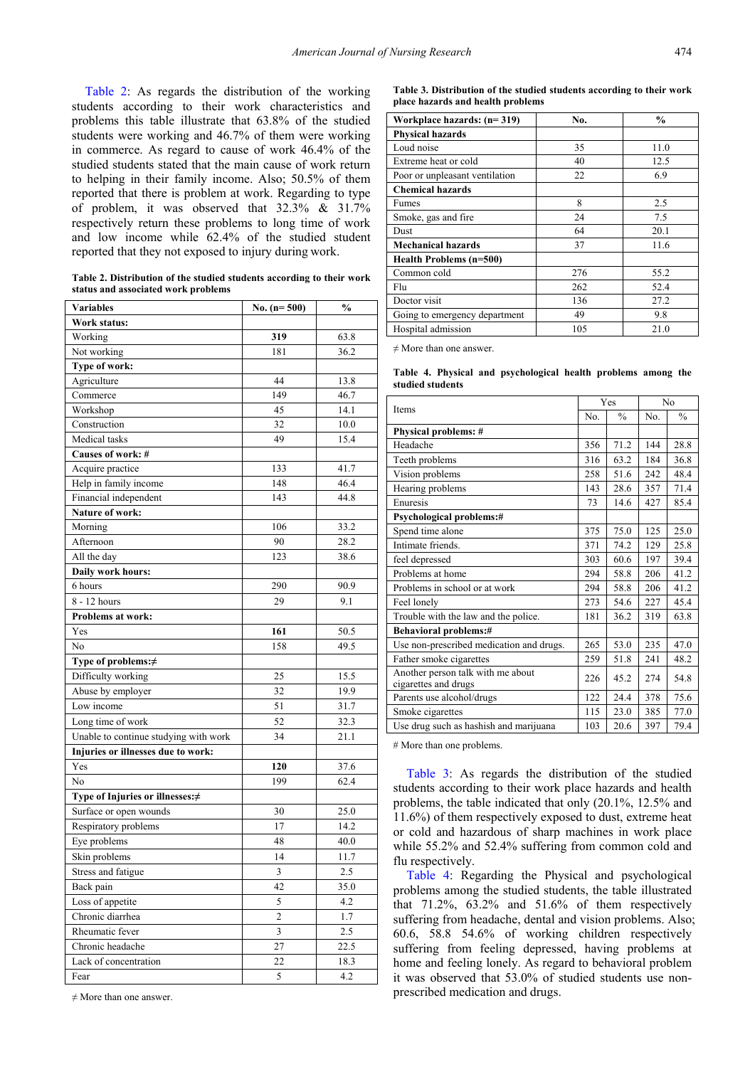[Table 2:](#page-3-0) As regards the distribution of the working students according to their work characteristics and problems this table illustrate that 63.8% of the studied students were working and 46.7% of them were working in commerce. As regard to cause of work 46.4% of the studied students stated that the main cause of work return to helping in their family income. Also; 50.5% of them reported that there is problem at work. Regarding to type of problem, it was observed that 32.3% & 31.7% respectively return these problems to long time of work and low income while 62.4% of the studied student reported that they not exposed to injury during work.

**Table 2. Distribution of the studied students according to their work status and associated work problems**

<span id="page-3-0"></span>

| <b>Variables</b>                      | No. $(n=500)$  | $\frac{0}{0}$ |
|---------------------------------------|----------------|---------------|
| Work status:                          |                |               |
| Working                               | 319            | 63.8          |
| Not working                           | 181            | 36.2          |
| Type of work:                         |                |               |
| Agriculture                           | 44             | 13.8          |
| Commerce                              | 149            | 46.7          |
| Workshop                              | 45             | 14.1          |
| Construction                          | 32             | 10.0          |
| Medical tasks                         | 49             | 15.4          |
| Causes of work: #                     |                |               |
| Acquire practice                      | 133            | 41.7          |
| Help in family income                 | 148            | 46.4          |
| Financial independent                 | 143            | 44.8          |
| Nature of work:                       |                |               |
| Morning                               | 106            | 33.2          |
| Afternoon                             | 90             | 28.2          |
| All the day                           | 123            | 38.6          |
| Daily work hours:                     |                |               |
| 6 hours                               | 290            | 90.9          |
| 8 - 12 hours                          | 29             | 9.1           |
| <b>Problems at work:</b>              |                |               |
| Yes                                   | 161            | 50.5          |
| No                                    | 158            | 49.5          |
| Type of problems:≠                    |                |               |
| Difficulty working                    | 25             | 15.5          |
| Abuse by employer                     | 32             | 19.9          |
| Low income                            | 51             | 31.7          |
| Long time of work                     | 52             | 32.3          |
| Unable to continue studying with work | 34             | 21.1          |
| Injuries or illnesses due to work:    |                |               |
| Yes                                   | 120            | 37.6          |
| No                                    | 199            | 62.4          |
| Type of Injuries or illnesses:≠       |                |               |
| Surface or open wounds                | 30             | 25.0          |
| Respiratory problems                  | 17             | 14.2          |
| Eye problems                          | 48             | 40.0          |
| Skin problems                         | 14             | 11.7          |
| Stress and fatigue                    | $\mathfrak{Z}$ | $2.5\,$       |
| Back pain                             | 42             | 35.0          |
| Loss of appetite                      | 5              | 4.2           |
| Chronic diarrhea                      | $\overline{c}$ | 1.7           |
| Rheumatic fever                       | 3              | 2.5           |
| Chronic headache                      | 27             | 22.5          |
| Lack of concentration                 | 22             | 18.3          |
| Fear                                  | 5              | 4.2           |

 $\neq$  More than one answer.

**Table 3. Distribution of the studied students according to their work place hazards and health problems**

<span id="page-3-1"></span>

| Workplace hazards: (n=319)     | No. | $\frac{0}{0}$ |
|--------------------------------|-----|---------------|
| <b>Physical hazards</b>        |     |               |
| Loud noise                     | 35  | 11.0          |
| Extreme heat or cold           | 40  | 12.5          |
| Poor or unpleasant ventilation | 22  | 6.9           |
| <b>Chemical hazards</b>        |     |               |
| Fumes                          | 8   | 2.5           |
| Smoke, gas and fire            | 24  | 7.5           |
| Dust                           | 64  | 20.1          |
| <b>Mechanical hazards</b>      | 37  | 11.6          |
| Health Problems (n=500)        |     |               |
| Common cold                    | 276 | 55.2          |
| Flu                            | 262 | 52.4          |
| Doctor visit                   | 136 | 27.2          |
| Going to emergency department  | 49  | 9.8           |
| Hospital admission             | 105 | 21.0          |

 $\neq$  More than one answer.

**Table 4. Physical and psychological health problems among the studied students**

<span id="page-3-2"></span>

| Items                                                     |     | Yes           | No  |               |  |
|-----------------------------------------------------------|-----|---------------|-----|---------------|--|
|                                                           |     | $\frac{0}{0}$ | No. | $\frac{0}{0}$ |  |
| Physical problems: #                                      |     |               |     |               |  |
| Headache                                                  | 356 | 71.2          | 144 | 28.8          |  |
| Teeth problems                                            | 316 | 63.2          | 184 | 36.8          |  |
| Vision problems                                           | 258 | 51.6          | 242 | 48.4          |  |
| Hearing problems                                          | 143 | 28.6          | 357 | 71.4          |  |
| Enuresis                                                  | 73  | 14.6          | 427 | 85.4          |  |
| <b>Psychological problems:#</b>                           |     |               |     |               |  |
| Spend time alone                                          | 375 | 75.0          | 125 | 25.0          |  |
| Intimate friends.                                         | 371 | 74.2          | 129 | 25.8          |  |
| feel depressed                                            | 303 | 60.6          | 197 | 39.4          |  |
| Problems at home                                          | 294 | 58.8          | 206 | 41.2          |  |
| Problems in school or at work                             | 294 | 58.8          | 206 | 41.2          |  |
| Feel lonely                                               | 273 | 54.6          | 227 | 45.4          |  |
| Trouble with the law and the police.                      | 181 | 36.2          | 319 | 63.8          |  |
| <b>Behavioral problems:#</b>                              |     |               |     |               |  |
| Use non-prescribed medication and drugs.                  | 265 | 53.0          | 235 | 47.0          |  |
| Father smoke cigarettes                                   | 259 | 51.8          | 241 | 48.2          |  |
| Another person talk with me about<br>cigarettes and drugs | 226 | 45.2          | 274 | 54.8          |  |
| Parents use alcohol/drugs                                 | 122 | 24.4          | 378 | 75.6          |  |
| Smoke cigarettes                                          | 115 | 23.0          | 385 | 77.0          |  |
| Use drug such as hashish and marijuana                    | 103 | 20.6          | 397 | 79.4          |  |

# More than one problems.

[Table 3:](#page-3-1) As regards the distribution of the studied students according to their work place hazards and health problems, the table indicated that only (20.1%, 12.5% and 11.6%) of them respectively exposed to dust, extreme heat or cold and hazardous of sharp machines in work place while 55.2% and 52.4% suffering from common cold and flu respectively.

[Table 4:](#page-3-2) Regarding the Physical and psychological problems among the studied students, the table illustrated that 71.2%, 63.2% and 51.6% of them respectively suffering from headache, dental and vision problems. Also; 60.6, 58.8 54.6% of working children respectively suffering from feeling depressed, having problems at home and feeling lonely. As regard to behavioral problem it was observed that 53.0% of studied students use nonprescribed medication and drugs.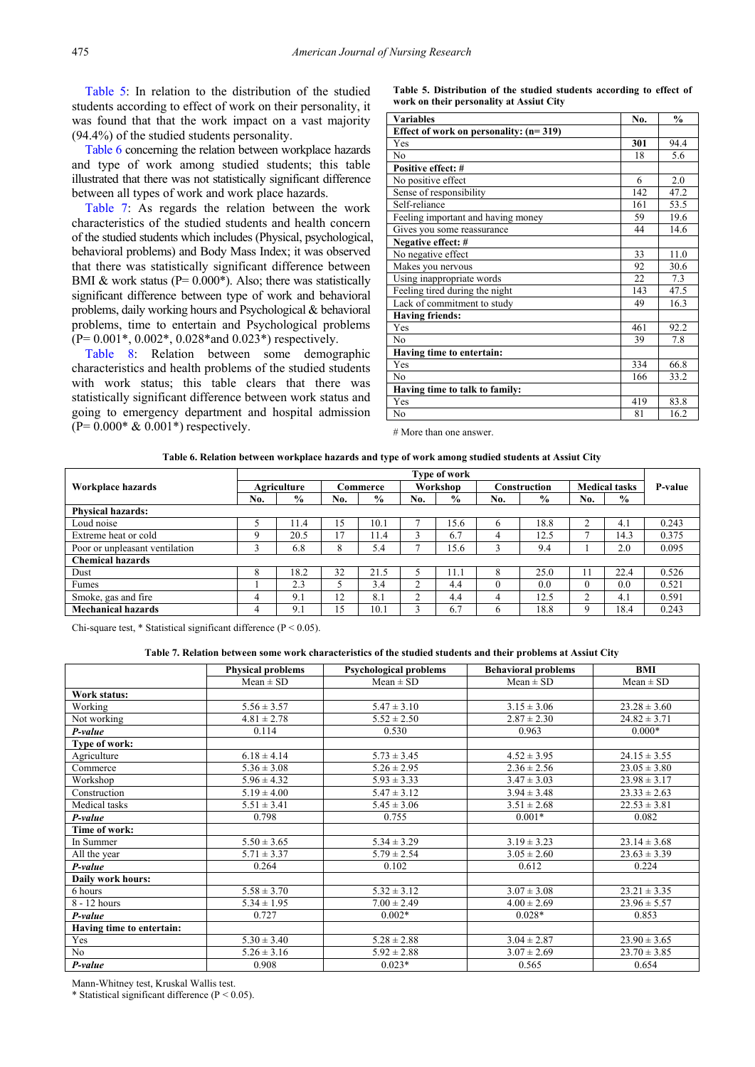[Table 5:](#page-4-0) In relation to the distribution of the studied students according to effect of work on their personality, it was found that that the work impact on a vast majority (94.4%) of the studied students personality.

[Table 6](#page-4-1) concerning the relation between workplace hazards and type of work among studied students; this table illustrated that there was not statistically significant difference between all types of work and work place hazards.

[Table 7:](#page-4-2) As regards the relation between the work characteristics of the studied students and health concern of the studied students which includes (Physical, psychological, behavioral problems) and Body Mass Index; it was observed that there was statistically significant difference between BMI & work status ( $P = 0.000^*$ ). Also; there was statistically significant difference between type of work and behavioral problems, daily working hours and Psychological & behavioral problems, time to entertain and Psychological problems (P= 0.001\*, 0.002\*, 0.028\*and 0.023\*) respectively.

[Table 8:](#page-5-0) Relation between some demographic characteristics and health problems of the studied students with work status; this table clears that there was statistically significant difference between work status and going to emergency department and hospital admission  $(P= 0.000* \& 0.001*)$  respectively.

**Table 5. Distribution of the studied students according to effect of work on their personality at Assiut City**

<span id="page-4-0"></span>

| <b>Variables</b>                         | No. | $\frac{0}{0}$ |
|------------------------------------------|-----|---------------|
| Effect of work on personality: $(n=319)$ |     |               |
| Yes                                      | 301 | 94.4          |
| N <sub>0</sub>                           | 18  | 5.6           |
| Positive effect: #                       |     |               |
| No positive effect                       | 6   | 2.0           |
| Sense of responsibility                  | 142 | 47.2          |
| Self-reliance                            | 161 | 53.5          |
| Feeling important and having money       | 59  | 19.6          |
| Gives you some reassurance               | 44  | 14.6          |
| Negative effect: #                       |     |               |
| No negative effect                       | 33  | 11.0          |
| Makes you nervous                        | 92  | 30.6          |
| Using inappropriate words                | 22  | 7.3           |
| Feeling tired during the night           | 143 | 47.5          |
| Lack of commitment to study              | 49  | 16.3          |
| <b>Having friends:</b>                   |     |               |
| Yes                                      | 461 | 92.2          |
| N <sub>0</sub>                           | 39  | 7.8           |
| Having time to entertain:                |     |               |
| Yes                                      | 334 | 66.8          |
| N <sub>o</sub>                           | 166 | 33.2          |
| Having time to talk to family:           |     |               |
| Yes                                      | 419 | 83.8          |
| No                                       | 81  | 16.2          |

# More than one answer.

#### **Table 6. Relation between workplace hazards and type of work among studied students at Assiut City**

<span id="page-4-1"></span>

|                                | Type of work       |               |          |               |                   |               |              |               |                      |               |                |
|--------------------------------|--------------------|---------------|----------|---------------|-------------------|---------------|--------------|---------------|----------------------|---------------|----------------|
| Workplace hazards              | <b>Agriculture</b> |               | Commerce |               | Workshop          |               | Construction |               | <b>Medical tasks</b> |               | <b>P-value</b> |
|                                | No.                | $\frac{6}{6}$ | No.      | $\frac{6}{9}$ | No.               | $\frac{6}{9}$ | No.          | $\frac{0}{0}$ | No.                  | $\frac{6}{9}$ |                |
| <b>Physical hazards:</b>       |                    |               |          |               |                   |               |              |               |                      |               |                |
| Loud noise                     |                    | 11.4          | 15       | 10.1          |                   | 15.6          |              | 18.8          | ◠                    | 4.1           | 0.243          |
| Extreme heat or cold           | Q                  | 20.5          | 17       | 11.4          |                   | 6.7           |              | 12.5          |                      | 14.3          | 0.375          |
| Poor or unpleasant ventilation |                    | 6.8           | 8        | 5.4           |                   | 15.6          |              | 9.4           |                      | 2.0           | 0.095          |
| <b>Chemical hazards</b>        |                    |               |          |               |                   |               |              |               |                      |               |                |
| Dust                           | 8                  | 18.2          | 32       | 21.5          |                   | 11.J          |              | 25.0          | 11                   | 22.4          | 0.526          |
| Fumes                          |                    | 2.3           |          | 3.4           | ◠                 | 4.4           |              | 0.0           | $\theta$             | 0.0           | 0.521          |
| Smoke, gas and fire            | 4                  | 9.1           | 12       | 8.1           | $\mathbf{\hat{}}$ | 4.4           |              | 12.5          | $\sim$               | 4.1           | 0.591          |
| <b>Mechanical hazards</b>      | 4                  | 9.1           | 15       | 10.1          |                   | 6.7           |              | 18.8          | Q                    | 18.4          | 0.243          |

Chi-square test,  $*$  Statistical significant difference ( $P < 0.05$ ).

#### **Table 7. Relation between some work characteristics of the studied students and their problems at Assiut City**

<span id="page-4-2"></span>

|                           | <b>Physical problems</b> | <b>Psychological problems</b> | <b>Behavioral problems</b> | BMI              |
|---------------------------|--------------------------|-------------------------------|----------------------------|------------------|
|                           | $Mean \pm SD$            | $Mean \pm SD$                 | $Mean \pm SD$              | $Mean \pm SD$    |
| Work status:              |                          |                               |                            |                  |
| Working                   | $5.56 \pm 3.57$          | $5.47 \pm 3.10$               | $3.15 \pm 3.06$            | $23.28 \pm 3.60$ |
| Not working               | $4.81 \pm 2.78$          | $5.52 \pm 2.50$               | $2.87 \pm 2.30$            | $24.82 \pm 3.71$ |
| P-value                   | 0.114                    | 0.530                         | 0.963                      | $0.000*$         |
| Type of work:             |                          |                               |                            |                  |
| Agriculture               | $6.18 \pm 4.14$          | $5.73 \pm 3.45$               | $4.52 \pm 3.95$            | $24.15 \pm 3.55$ |
| Commerce                  | $5.36 \pm 3.08$          | $5.26 \pm 2.95$               | $2.36 \pm 2.56$            | $23.05 \pm 3.80$ |
| Workshop                  | $5.96 \pm 4.32$          | $5.93 \pm 3.33$               | $3.47 \pm 3.03$            | $23.98 \pm 3.17$ |
| Construction              | $5.19 \pm 4.00$          | $5.47 \pm 3.12$               | $3.94 \pm 3.48$            | $23.33 \pm 2.63$ |
| Medical tasks             | $5.51 \pm 3.41$          | $5.45 \pm 3.06$               | $3.51 \pm 2.68$            | $22.53 \pm 3.81$ |
| P-value                   | 0.798                    | 0.755                         | $0.001*$                   | 0.082            |
| Time of work:             |                          |                               |                            |                  |
| In Summer                 | $5.50 \pm 3.65$          | $5.34 \pm 3.29$               | $3.19 \pm 3.23$            | $23.14 \pm 3.68$ |
| All the year              | $5.71 \pm 3.37$          | $5.79 \pm 2.54$               | $3.05 \pm 2.60$            | $23.63 \pm 3.39$ |
| P-value                   | 0.264                    | 0.102                         | 0.612                      | 0.224            |
| Daily work hours:         |                          |                               |                            |                  |
| 6 hours                   | $5.58 \pm 3.70$          | $5.32 \pm 3.12$               | $3.07 \pm 3.08$            | $23.21 \pm 3.35$ |
| 8 - 12 hours              | $5.34 \pm 1.95$          | $7.00 \pm 2.49$               | $4.00 \pm 2.69$            | $23.96 \pm 5.57$ |
| P-value                   | 0.727                    | $0.002*$                      | $0.028*$                   | 0.853            |
| Having time to entertain: |                          |                               |                            |                  |
| Yes                       | $5.30 \pm 3.40$          | $5.28 \pm 2.88$               | $3.04 \pm 2.87$            | $23.90 \pm 3.65$ |
| No                        | $5.26 \pm 3.16$          | $5.92 \pm 2.88$               | $3.07 \pm 2.69$            | $23.70 \pm 3.85$ |
| P-value                   | 0.908                    | $0.023*$                      | 0.565                      | 0.654            |

Mann-Whitney test, Kruskal Wallis test.

\* Statistical significant difference ( $P < 0.05$ ).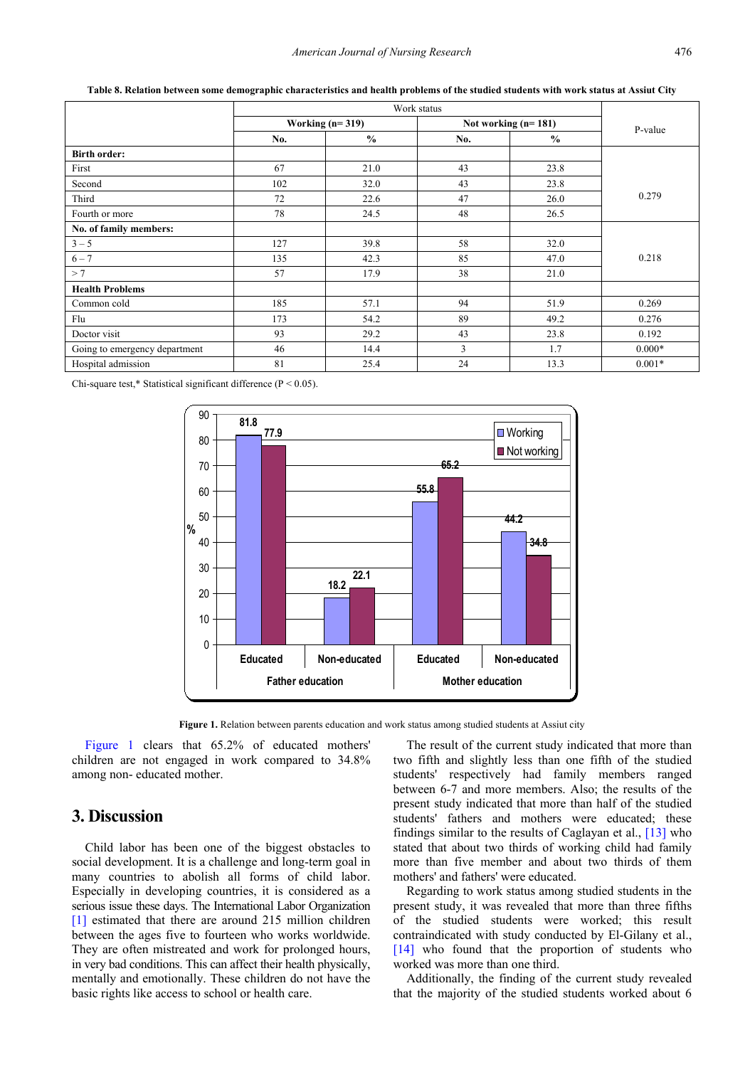<span id="page-5-0"></span>

|                               | Working $(n=319)$ |               | Not working $(n=181)$ | P-value       |          |
|-------------------------------|-------------------|---------------|-----------------------|---------------|----------|
|                               | No.               | $\frac{0}{0}$ | No.                   | $\frac{0}{0}$ |          |
| <b>Birth order:</b>           |                   |               |                       |               |          |
| First                         | 67                | 21.0          | 43                    | 23.8          |          |
| Second                        | 102               | 32.0          | 43                    | 23.8          |          |
| Third                         | 72                | 22.6          | 47                    | 26.0          | 0.279    |
| Fourth or more                | 78                | 24.5          | 48                    | 26.5          |          |
| No. of family members:        |                   |               |                       |               |          |
| $3 - 5$                       | 127               | 39.8          | 58                    | 32.0          |          |
| $6 - 7$                       | 135               | 42.3          | 85                    | 47.0          | 0.218    |
| >7                            | 57                | 17.9          | 38                    | 21.0          |          |
| <b>Health Problems</b>        |                   |               |                       |               |          |
| Common cold                   | 185               | 57.1          | 94                    | 51.9          | 0.269    |
| Flu                           | 173               | 54.2          | 89                    | 49.2          | 0.276    |
| Doctor visit                  | 93                | 29.2          | 43                    | 23.8          | 0.192    |
| Going to emergency department | 46                | 14.4          | 3                     | 1.7           | $0.000*$ |
| Hospital admission            | 81                | 25.4          | 24                    | 13.3          | $0.001*$ |

**Table 8. Relation between some demographic characteristics and health problems of the studied students with work status at Assiut City**

<span id="page-5-1"></span>Chi-square test,\* Statistical significant difference (P < 0.05).



**Figure 1.** Relation between parents education and work status among studied students at Assiut city

[Figure 1](#page-5-1) clears that  $65.2\%$  of educated mothers' children are not engaged in work compared to 34.8% among non- educated mother.

## **3. Discussion**

Child labor has been one of the biggest obstacles to social development. It is a challenge and long-term goal in many countries to abolish all forms of child labor. Especially in developing countries, it is considered as a serious issue these days. The International Labor Organization [\[1\]](#page-7-0) estimated that there are around 215 million children between the ages five to fourteen who works worldwide. They are often mistreated and work for prolonged hours, in very bad conditions. This can affect their health physically, mentally and emotionally. These children do not have the basic rights like access to school or health care.

The result of the current study indicated that more than two fifth and slightly less than one fifth of the studied students' respectively had family members ranged between 6-7 and more members. Also; the results of the present study indicated that more than half of the studied students' fathers and mothers were educated; these findings similar to the results of Caglayan et al., [\[13\]](#page-7-11) who stated that about two thirds of working child had family more than five member and about two thirds of them mothers' and fathers' were educated.

Regarding to work status among studied students in the present study, it was revealed that more than three fifths of the studied students were worked; this result contraindicated with study conducted by El-Gilany et al., [\[14\]](#page-7-12) who found that the proportion of students who worked was more than one third.

Additionally, the finding of the current study revealed that the majority of the studied students worked about 6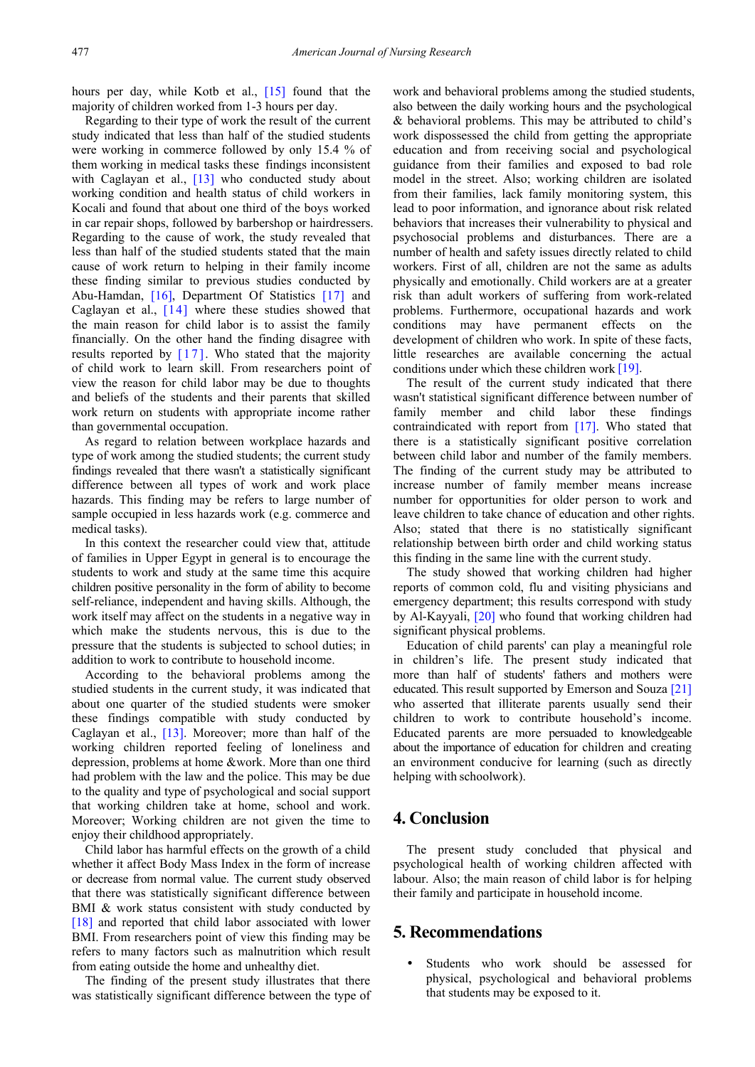hours per day, while Kotb et al., [\[15\]](#page-7-13) found that the majority of children worked from 1-3 hours per day.

Regarding to their type of work the result of the current study indicated that less than half of the studied students were working in commerce followed by only 15.4 % of them working in medical tasks these findings inconsistent with Caglayan et al., [\[13\]](#page-7-11) who conducted study about working condition and health status of child workers in Kocali and found that about one third of the boys worked in car repair shops, followed by barbershop or hairdressers. Regarding to the cause of work, the study revealed that less than half of the studied students stated that the main cause of work return to helping in their family income these finding similar to previous studies conducted by Abu-Hamdan, [\[16\],](#page-7-14) Department Of Statistics [\[17\]](#page-7-15) and Caglayan et al., [\[14\]](#page-7-12) where these studies showed that the main reason for child labor is to assist the family financially. On the other hand the finding disagree with results reported by  $[17]$ . Who stated that the majority of child work to learn skill. From researchers point of view the reason for child labor may be due to thoughts and beliefs of the students and their parents that skilled work return on students with appropriate income rather than governmental occupation.

As regard to relation between workplace hazards and type of work among the studied students; the current study findings revealed that there wasn't a statistically significant difference between all types of work and work place hazards. This finding may be refers to large number of sample occupied in less hazards work (e.g. commerce and medical tasks).

In this context the researcher could view that, attitude of families in Upper Egypt in general is to encourage the students to work and study at the same time this acquire children positive personality in the form of ability to become self-reliance, independent and having skills. Although, the work itself may affect on the students in a negative way in which make the students nervous, this is due to the pressure that the students is subjected to school duties; in addition to work to contribute to household income.

According to the behavioral problems among the studied students in the current study, it was indicated that about one quarter of the studied students were smoker these findings compatible with study conducted by Caglayan et al., [\[13\].](#page-7-11) Moreover; more than half of the working children reported feeling of loneliness and depression, problems at home &work. More than one third had problem with the law and the police. This may be due to the quality and type of psychological and social support that working children take at home, school and work. Moreover; Working children are not given the time to enjoy their childhood appropriately.

Child labor has harmful effects on the growth of a child whether it affect Body Mass Index in the form of increase or decrease from normal value. The current study observed that there was statistically significant difference between BMI & work status consistent with study conducted by [\[18\]](#page-7-16) and reported that child labor associated with lower BMI. From researchers point of view this finding may be refers to many factors such as malnutrition which result from eating outside the home and unhealthy diet.

The finding of the present study illustrates that there was statistically significant difference between the type of work and behavioral problems among the studied students, also between the daily working hours and the psychological & behavioral problems. This may be attributed to child's work dispossessed the child from getting the appropriate education and from receiving social and psychological guidance from their families and exposed to bad role model in the street. Also; working children are isolated from their families, lack family monitoring system, this lead to poor information, and ignorance about risk related behaviors that increases their vulnerability to physical and psychosocial problems and disturbances. There are a number of health and safety issues directly related to child workers. First of all, children are not the same as adults physically and emotionally. Child workers are at a greater risk than adult workers of suffering from work-related problems. Furthermore, occupational hazards and work conditions may have permanent effects on the development of children who work. In spite of these facts, little researches are available concerning the actual conditions under which these children work [\[19\].](#page-7-17)

The result of the current study indicated that there wasn't statistical significant difference between number of family member and child labor these findings contraindicated with report from [\[17\].](#page-7-15) Who stated that there is a statistically significant positive correlation between child labor and number of the family members. The finding of the current study may be attributed to increase number of family member means increase number for opportunities for older person to work and leave children to take chance of education and other rights. Also; stated that there is no statistically significant relationship between birth order and child working status this finding in the same line with the current study.

The study showed that working children had higher reports of common cold, flu and visiting physicians and emergency department; this results correspond with study by Al-Kayyali, [\[20\]](#page-7-18) who found that working children had significant physical problems.

Education of child parents' can play a meaningful role in children's life. The present study indicated that more than half of students' fathers and mothers were educated. This result supported by Emerson and Souza [\[21\]](#page-7-19) who asserted that illiterate parents usually send their children to work to contribute household's income. Educated parents are more persuaded to knowledgeable about the importance of education for children and creating an environment conducive for learning (such as directly helping with schoolwork).

## **4. Conclusion**

The present study concluded that physical and psychological health of working children affected with labour. Also; the main reason of child labor is for helping their family and participate in household income.

## **5. Recommendations**

 Students who work should be assessed for physical, psychological and behavioral problems that students may be exposed to it.